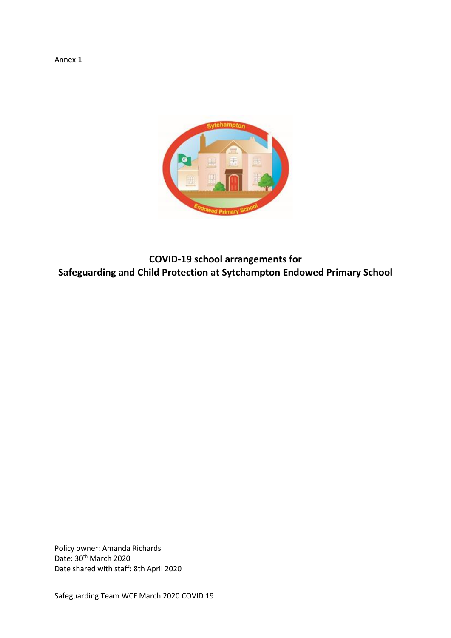Annex 1



**COVID-19 school arrangements for Safeguarding and Child Protection at Sytchampton Endowed Primary School**

Policy owner: Amanda Richards Date: 30<sup>th</sup> March 2020 Date shared with staff: 8th April 2020

Safeguarding Team WCF March 2020 COVID 19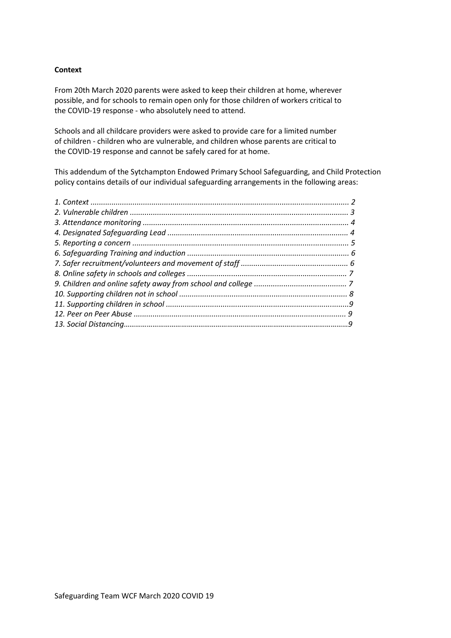## **Context**

From 20th March 2020 parents were asked to keep their children at home, wherever possible, and for schools to remain open only for those children of workers critical to the COVID-19 response - who absolutely need to attend.

Schools and all childcare providers were asked to provide care for a limited number of children - children who are vulnerable, and children whose parents are critical to the COVID-19 response and cannot be safely cared for at home.

This addendum of the Sytchampton Endowed Primary School Safeguarding, and Child Protection policy contains details of our individual safeguarding arrangements in the following areas: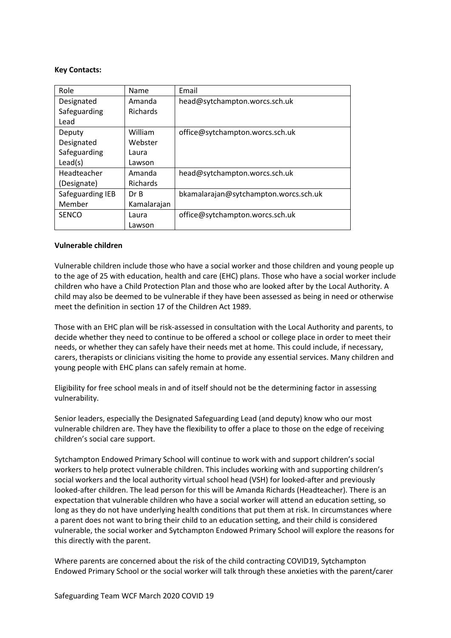### **Key Contacts:**

| Role             | Name            | Email                                 |
|------------------|-----------------|---------------------------------------|
| Designated       | Amanda          | head@sytchampton.worcs.sch.uk         |
| Safeguarding     | <b>Richards</b> |                                       |
| Lead             |                 |                                       |
| Deputy           | William         | office@sytchampton.worcs.sch.uk       |
| Designated       | Webster         |                                       |
| Safeguarding     | Laura           |                                       |
| Lead(s)          | Lawson          |                                       |
| Headteacher      | Amanda          | head@sytchampton.worcs.sch.uk         |
| (Designate)      | <b>Richards</b> |                                       |
| Safeguarding IEB | Dr B            | bkamalarajan@sytchampton.worcs.sch.uk |
| Member           | Kamalarajan     |                                       |
| <b>SENCO</b>     | Laura           | office@sytchampton.worcs.sch.uk       |
|                  | Lawson          |                                       |

### **Vulnerable children**

Vulnerable children include those who have a social worker and those children and young people up to the age of 25 with education, health and care (EHC) plans. Those who have a social worker include children who have a Child Protection Plan and those who are looked after by the Local Authority. A child may also be deemed to be vulnerable if they have been assessed as being in need or otherwise meet the definition in section 17 of the Children Act 1989.

Those with an EHC plan will be risk-assessed in consultation with the Local Authority and parents, to decide whether they need to continue to be offered a school or college place in order to meet their needs, or whether they can safely have their needs met at home. This could include, if necessary, carers, therapists or clinicians visiting the home to provide any essential services. Many children and young people with EHC plans can safely remain at home.

Eligibility for free school meals in and of itself should not be the determining factor in assessing vulnerability.

Senior leaders, especially the Designated Safeguarding Lead (and deputy) know who our most vulnerable children are. They have the flexibility to offer a place to those on the edge of receiving children's social care support.

Sytchampton Endowed Primary School will continue to work with and support children's social workers to help protect vulnerable children. This includes working with and supporting children's social workers and the local authority virtual school head (VSH) for looked-after and previously looked-after children. The lead person for this will be Amanda Richards (Headteacher). There is an expectation that vulnerable children who have a social worker will attend an education setting, so long as they do not have underlying health conditions that put them at risk. In circumstances where a parent does not want to bring their child to an education setting, and their child is considered vulnerable, the social worker and Sytchampton Endowed Primary School will explore the reasons for this directly with the parent.

Where parents are concerned about the risk of the child contracting COVID19, Sytchampton Endowed Primary School or the social worker will talk through these anxieties with the parent/carer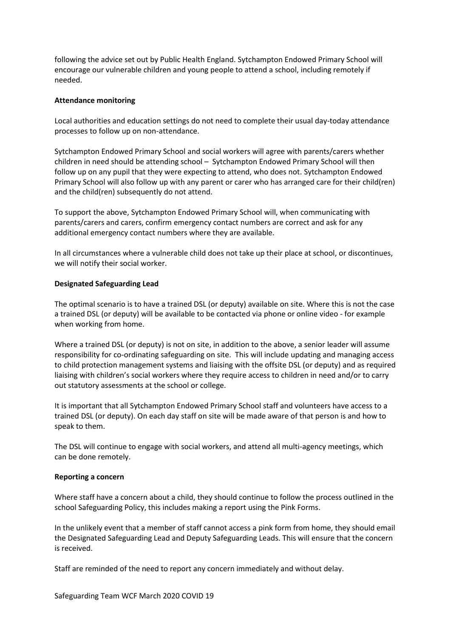following the advice set out by Public Health England. Sytchampton Endowed Primary School will encourage our vulnerable children and young people to attend a school, including remotely if needed.

## **Attendance monitoring**

Local authorities and education settings do not need to complete their usual day-today attendance processes to follow up on non-attendance.

Sytchampton Endowed Primary School and social workers will agree with parents/carers whether children in need should be attending school – Sytchampton Endowed Primary School will then follow up on any pupil that they were expecting to attend, who does not. Sytchampton Endowed Primary School will also follow up with any parent or carer who has arranged care for their child(ren) and the child(ren) subsequently do not attend.

To support the above, Sytchampton Endowed Primary School will, when communicating with parents/carers and carers, confirm emergency contact numbers are correct and ask for any additional emergency contact numbers where they are available.

In all circumstances where a vulnerable child does not take up their place at school, or discontinues, we will notify their social worker.

### **Designated Safeguarding Lead**

The optimal scenario is to have a trained DSL (or deputy) available on site. Where this is not the case a trained DSL (or deputy) will be available to be contacted via phone or online video - for example when working from home.

Where a trained DSL (or deputy) is not on site, in addition to the above, a senior leader will assume responsibility for co-ordinating safeguarding on site. This will include updating and managing access to child protection management systems and liaising with the offsite DSL (or deputy) and as required liaising with children's social workers where they require access to children in need and/or to carry out statutory assessments at the school or college.

It is important that all Sytchampton Endowed Primary School staff and volunteers have access to a trained DSL (or deputy). On each day staff on site will be made aware of that person is and how to speak to them.

The DSL will continue to engage with social workers, and attend all multi-agency meetings, which can be done remotely.

#### **Reporting a concern**

Where staff have a concern about a child, they should continue to follow the process outlined in the school Safeguarding Policy, this includes making a report using the Pink Forms.

In the unlikely event that a member of staff cannot access a pink form from home, they should email the Designated Safeguarding Lead and Deputy Safeguarding Leads. This will ensure that the concern is received.

Staff are reminded of the need to report any concern immediately and without delay.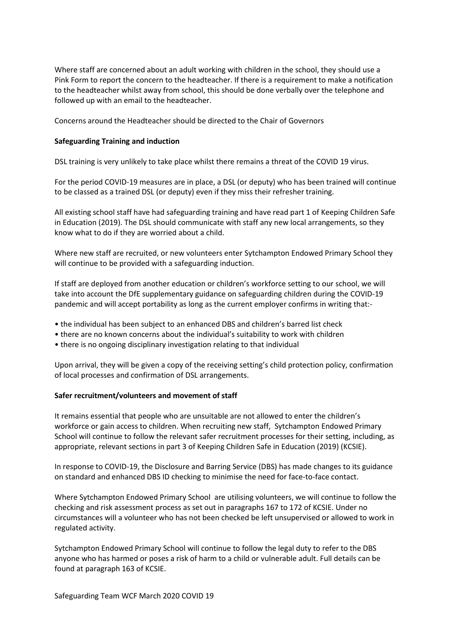Where staff are concerned about an adult working with children in the school, they should use a Pink Form to report the concern to the headteacher. If there is a requirement to make a notification to the headteacher whilst away from school, this should be done verbally over the telephone and followed up with an email to the headteacher.

Concerns around the Headteacher should be directed to the Chair of Governors

# **Safeguarding Training and induction**

DSL training is very unlikely to take place whilst there remains a threat of the COVID 19 virus.

For the period COVID-19 measures are in place, a DSL (or deputy) who has been trained will continue to be classed as a trained DSL (or deputy) even if they miss their refresher training.

All existing school staff have had safeguarding training and have read part 1 of Keeping Children Safe in Education (2019). The DSL should communicate with staff any new local arrangements, so they know what to do if they are worried about a child.

Where new staff are recruited, or new volunteers enter Sytchampton Endowed Primary School they will continue to be provided with a safeguarding induction.

If staff are deployed from another education or children's workforce setting to our school, we will take into account the DfE supplementary guidance on safeguarding children during the COVID-19 pandemic and will accept portability as long as the current employer confirms in writing that:-

- the individual has been subject to an enhanced DBS and children's barred list check
- there are no known concerns about the individual's suitability to work with children
- there is no ongoing disciplinary investigation relating to that individual

Upon arrival, they will be given a copy of the receiving setting's child protection policy, confirmation of local processes and confirmation of DSL arrangements.

## **Safer recruitment/volunteers and movement of staff**

It remains essential that people who are unsuitable are not allowed to enter the children's workforce or gain access to children. When recruiting new staff, Sytchampton Endowed Primary School will continue to follow the relevant safer recruitment processes for their setting, including, as appropriate, relevant sections in part 3 of Keeping Children Safe in Education (2019) (KCSIE).

In response to COVID-19, the Disclosure and Barring Service (DBS) has made changes to its guidance on standard and enhanced DBS ID checking to minimise the need for face-to-face contact.

Where Sytchampton Endowed Primary School are utilising volunteers, we will continue to follow the checking and risk assessment process as set out in paragraphs 167 to 172 of KCSIE. Under no circumstances will a volunteer who has not been checked be left unsupervised or allowed to work in regulated activity.

Sytchampton Endowed Primary School will continue to follow the legal duty to refer to the DBS anyone who has harmed or poses a risk of harm to a child or vulnerable adult. Full details can be found at paragraph 163 of KCSIE.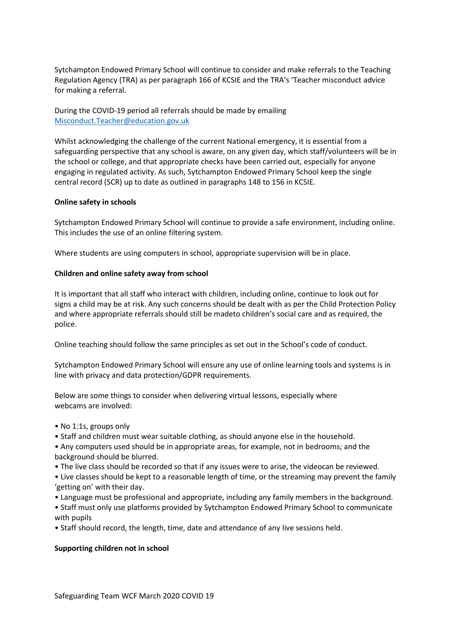Sytchampton Endowed Primary School will continue to consider and make referrals to the Teaching Regulation Agency (TRA) as per paragraph 166 of KCSIE and the TRA's 'Teacher misconduct advice for making a referral.

During the COVID-19 period all referrals should be made by emailing [Misconduct.Teacher@education.gov.uk](about:blank)

Whilst acknowledging the challenge of the current National emergency, it is essential from a safeguarding perspective that any school is aware, on any given day, which staff/volunteers will be in the school or college, and that appropriate checks have been carried out, especially for anyone engaging in regulated activity. As such, Sytchampton Endowed Primary School keep the single central record (SCR) up to date as outlined in paragraphs 148 to 156 in KCSIE.

## **Online safety in schools**

Sytchampton Endowed Primary School will continue to provide a safe environment, including online. This includes the use of an online filtering system.

Where students are using computers in school, appropriate supervision will be in place.

#### **Children and online safety away from school**

It is important that all staff who interact with children, including online, continue to look out for signs a child may be at risk. Any such concerns should be dealt with as per the Child Protection Policy and where appropriate referrals should still be madeto children's social care and as required, the police.

Online teaching should follow the same principles as set out in the School's code of conduct.

Sytchampton Endowed Primary School will ensure any use of online learning tools and systems is in line with privacy and data protection/GDPR requirements.

Below are some things to consider when delivering virtual lessons, especially where webcams are involved:

- No 1:1s, groups only
- Staff and children must wear suitable clothing, as should anyone else in the household.
- Any computers used should be in appropriate areas, for example, not in bedrooms; and the background should be blurred.
- The live class should be recorded so that if any issues were to arise, the videocan be reviewed.
- Live classes should be kept to a reasonable length of time, or the streaming may prevent the family 'getting on' with their day.
- Language must be professional and appropriate, including any family members in the background.
- Staff must only use platforms provided by Sytchampton Endowed Primary School to communicate with pupils
- Staff should record, the length, time, date and attendance of any live sessions held.

#### **Supporting children not in school**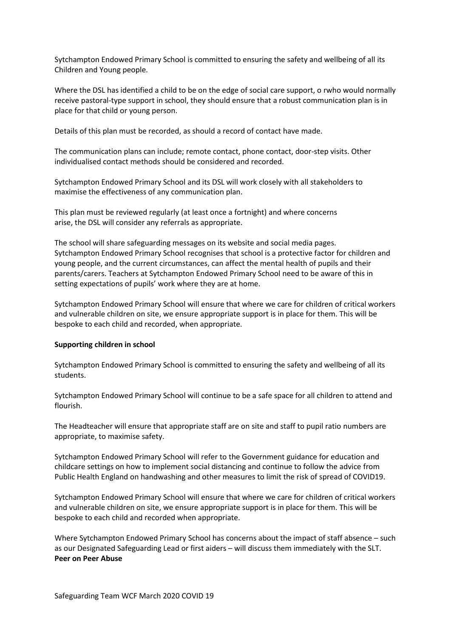Sytchampton Endowed Primary School is committed to ensuring the safety and wellbeing of all its Children and Young people.

Where the DSL has identified a child to be on the edge of social care support, o rwho would normally receive pastoral-type support in school, they should ensure that a robust communication plan is in place for that child or young person.

Details of this plan must be recorded, as should a record of contact have made.

The communication plans can include; remote contact, phone contact, door-step visits. Other individualised contact methods should be considered and recorded.

Sytchampton Endowed Primary School and its DSL will work closely with all stakeholders to maximise the effectiveness of any communication plan.

This plan must be reviewed regularly (at least once a fortnight) and where concerns arise, the DSL will consider any referrals as appropriate.

The school will share safeguarding messages on its website and social media pages. Sytchampton Endowed Primary School recognises that school is a protective factor for children and young people, and the current circumstances, can affect the mental health of pupils and their parents/carers. Teachers at Sytchampton Endowed Primary School need to be aware of this in setting expectations of pupils' work where they are at home.

Sytchampton Endowed Primary School will ensure that where we care for children of critical workers and vulnerable children on site, we ensure appropriate support is in place for them. This will be bespoke to each child and recorded, when appropriate.

#### **Supporting children in school**

Sytchampton Endowed Primary School is committed to ensuring the safety and wellbeing of all its students.

Sytchampton Endowed Primary School will continue to be a safe space for all children to attend and flourish.

The Headteacher will ensure that appropriate staff are on site and staff to pupil ratio numbers are appropriate, to maximise safety.

Sytchampton Endowed Primary School will refer to the Government guidance for education and childcare settings on how to implement social distancing and continue to follow the advice from Public Health England on handwashing and other measures to limit the risk of spread of COVID19.

Sytchampton Endowed Primary School will ensure that where we care for children of critical workers and vulnerable children on site, we ensure appropriate support is in place for them. This will be bespoke to each child and recorded when appropriate.

Where Sytchampton Endowed Primary School has concerns about the impact of staff absence – such as our Designated Safeguarding Lead or first aiders – will discuss them immediately with the SLT. **Peer on Peer Abuse**